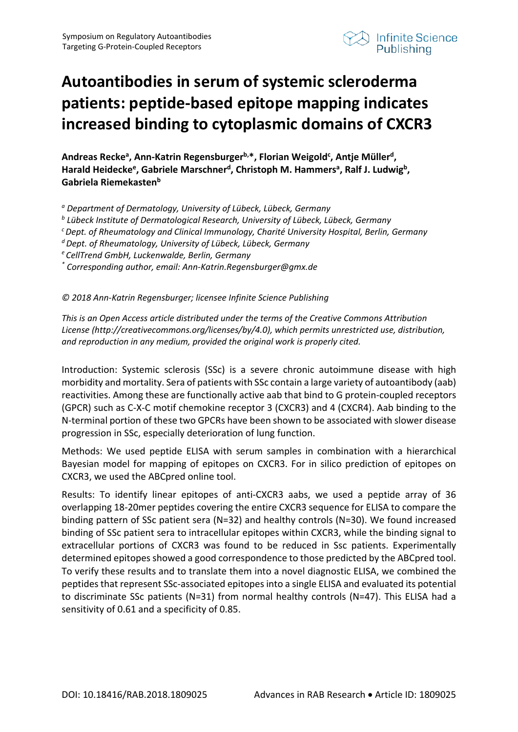

## **Autoantibodies in serum of systemic scleroderma patients: peptide-based epitope mapping indicates increased binding to cytoplasmic domains of CXCR3**

Andreas Recke<sup>a</sup>, Ann-Katrin Regensburger<sup>b,\*</sup>, Florian Weigold<sup>c</sup>, Antje Müller<sup>d</sup>, Harald Heidecke<sup>e</sup>, Gabriele Marschner<sup>d</sup>, Christoph M. Hammers<sup>a</sup>, Ralf J. Ludwig<sup>b</sup>, Gabriela Riemekasten<sup>b</sup>

*<sup>a</sup> Department of Dermatology, University of Lübeck, Lübeck, Germany*

*<sup>b</sup> Lübeck Institute of Dermatological Research, University of Lübeck, Lübeck, Germany*

*c Dept. of Rheumatology and Clinical Immunology, Charité University Hospital, Berlin, Germany*

- *d Dept. of Rheumatology, University of Lübeck, Lübeck, Germany*
- *e CellTrend GmbH, Luckenwalde, Berlin, Germany*

*\* Corresponding author, email: Ann-Katrin.Regensburger@gmx.de*

*© 2018 Ann-Katrin Regensburger; licensee Infinite Science Publishing*

*This is an Open Access article distributed under the terms of the Creative Commons Attribution License (http://creativecommons.org/licenses/by/4.0), which permits unrestricted use, distribution, and reproduction in any medium, provided the original work is properly cited.*

Introduction: Systemic sclerosis (SSc) is a severe chronic autoimmune disease with high morbidity and mortality. Sera of patients with SSc contain a large variety of autoantibody (aab) reactivities. Among these are functionally active aab that bind to G protein-coupled receptors (GPCR) such as C-X-C motif chemokine receptor 3 (CXCR3) and 4 (CXCR4). Aab binding to the N-terminal portion of these two GPCRs have been shown to be associated with slower disease progression in SSc, especially deterioration of lung function.

Methods: We used peptide ELISA with serum samples in combination with a hierarchical Bayesian model for mapping of epitopes on CXCR3. For in silico prediction of epitopes on CXCR3, we used the ABCpred online tool.

Results: To identify linear epitopes of anti-CXCR3 aabs, we used a peptide array of 36 overlapping 18-20mer peptides covering the entire CXCR3 sequence for ELISA to compare the binding pattern of SSc patient sera (N=32) and healthy controls (N=30). We found increased binding of SSc patient sera to intracellular epitopes within CXCR3, while the binding signal to extracellular portions of CXCR3 was found to be reduced in Ssc patients. Experimentally determined epitopes showed a good correspondence to those predicted by the ABCpred tool. To verify these results and to translate them into a novel diagnostic ELISA, we combined the peptides that represent SSc-associated epitopes into a single ELISA and evaluated its potential to discriminate SSc patients (N=31) from normal healthy controls (N=47). This ELISA had a sensitivity of 0.61 and a specificity of 0.85.